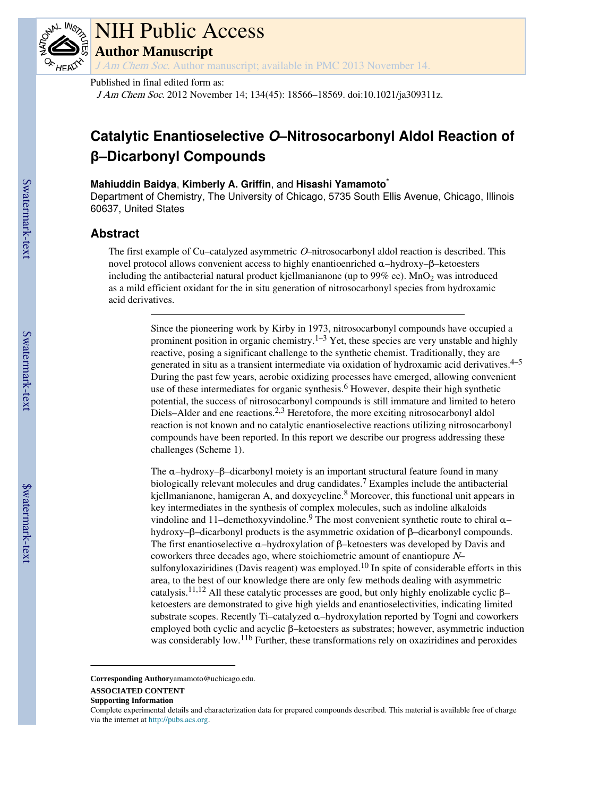

# NIH Public Access **Author Manuscript**

J Am Chem Soc. Author manuscript; available in PMC 2013 November 14.

## Published in final edited form as:

J Am Chem Soc. 2012 November 14; 134(45): 18566–18569. doi:10.1021/ja309311z.

# **Catalytic Enantioselective O–Nitrosocarbonyl Aldol Reaction of β–Dicarbonyl Compounds**

# **Mahiuddin Baidya**, **Kimberly A. Griffin**, and **Hisashi Yamamoto**\*

Department of Chemistry, The University of Chicago, 5735 South Ellis Avenue, Chicago, Illinois 60637, United States

# **Abstract**

The first example of Cu–catalyzed asymmetric O–nitrosocarbonyl aldol reaction is described. This novel protocol allows convenient access to highly enantioenriched α–hydroxy–β–ketoesters including the antibacterial natural product kjellmanianone (up to  $99\%$  ee). MnO<sub>2</sub> was introduced as a mild efficient oxidant for the in situ generation of nitrosocarbonyl species from hydroxamic acid derivatives.

> Since the pioneering work by Kirby in 1973, nitrosocarbonyl compounds have occupied a prominent position in organic chemistry.<sup>1–3</sup> Yet, these species are very unstable and highly reactive, posing a significant challenge to the synthetic chemist. Traditionally, they are generated in situ as a transient intermediate via oxidation of hydroxamic acid derivatives.<sup>4-5</sup> During the past few years, aerobic oxidizing processes have emerged, allowing convenient use of these intermediates for organic synthesis.<sup>6</sup> However, despite their high synthetic potential, the success of nitrosocarbonyl compounds is still immature and limited to hetero Diels–Alder and ene reactions.<sup>2,3</sup> Heretofore, the more exciting nitrosocarbonyl aldol reaction is not known and no catalytic enantioselective reactions utilizing nitrosocarbonyl compounds have been reported. In this report we describe our progress addressing these challenges (Scheme 1).

> The α–hydroxy–β–dicarbonyl moiety is an important structural feature found in many biologically relevant molecules and drug candidates.<sup>7</sup> Examples include the antibacterial kjellmanianone, hamigeran A, and doxycycline.<sup>8</sup> Moreover, this functional unit appears in key intermediates in the synthesis of complex molecules, such as indoline alkaloids vindoline and 11-demethoxyvindoline.<sup>9</sup> The most convenient synthetic route to chiral αhydroxy–β–dicarbonyl products is the asymmetric oxidation of β–dicarbonyl compounds. The first enantioselective  $\alpha$ –hydroxylation of  $\beta$ –ketoesters was developed by Davis and coworkers three decades ago, where stoichiometric amount of enantiopure N– sulfonyloxaziridines (Davis reagent) was employed.<sup>10</sup> In spite of considerable efforts in this area, to the best of our knowledge there are only few methods dealing with asymmetric catalysis.<sup>11,12</sup> All these catalytic processes are good, but only highly enolizable cyclic  $\beta$ – ketoesters are demonstrated to give high yields and enantioselectivities, indicating limited substrate scopes. Recently Ti–catalyzed α–hydroxylation reported by Togni and coworkers employed both cyclic and acyclic β–ketoesters as substrates; however, asymmetric induction was considerably low.11b Further, these transformations rely on oxaziridines and peroxides

**Corresponding Author**yamamoto@uchicago.edu.

#### **ASSOCIATED CONTENT**

**Supporting Information**

Complete experimental details and characterization data for prepared compounds described. This material is available free of charge via the internet at http://pubs.acs.org.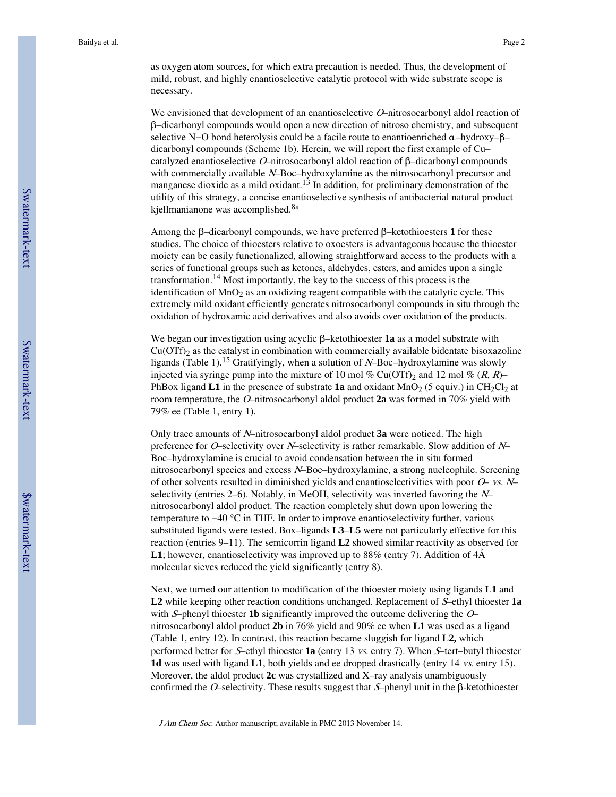as oxygen atom sources, for which extra precaution is needed. Thus, the development of mild, robust, and highly enantioselective catalytic protocol with wide substrate scope is necessary.

We envisioned that development of an enantioselective O–nitrosocarbonyl aldol reaction of β–dicarbonyl compounds would open a new direction of nitroso chemistry, and subsequent selective N−O bond heterolysis could be a facile route to enantioenriched α–hydroxy–β– dicarbonyl compounds (Scheme 1b). Herein, we will report the first example of Cu– catalyzed enantioselective O–nitrosocarbonyl aldol reaction of β–dicarbonyl compounds with commercially available N–Boc–hydroxylamine as the nitrosocarbonyl precursor and manganese dioxide as a mild oxidant.<sup>13</sup> In addition, for preliminary demonstration of the utility of this strategy, a concise enantioselective synthesis of antibacterial natural product kjellmanianone was accomplished.<sup>8a</sup>

Among the β–dicarbonyl compounds, we have preferred β–ketothioesters **1** for these studies. The choice of thioesters relative to oxoesters is advantageous because the thioester moiety can be easily functionalized, allowing straightforward access to the products with a series of functional groups such as ketones, aldehydes, esters, and amides upon a single transformation.<sup>14</sup> Most importantly, the key to the success of this process is the identification of  $MnO<sub>2</sub>$  as an oxidizing reagent compatible with the catalytic cycle. This extremely mild oxidant efficiently generates nitrosocarbonyl compounds in situ through the oxidation of hydroxamic acid derivatives and also avoids over oxidation of the products.

We began our investigation using acyclic β–ketothioester **1a** as a model substrate with  $Cu(OTf)$ <sub>2</sub> as the catalyst in combination with commercially available bidentate bisoxazoline ligands (Table 1).<sup>15</sup> Gratifyingly, when a solution of  $N$ –Boc–hydroxylamine was slowly injected via syringe pump into the mixture of 10 mol % Cu(OTf)<sub>2</sub> and 12 mol % (R, R)– PhBox ligand **L1** in the presence of substrate **1a** and oxidant  $MnO<sub>2</sub>$  (5 equiv.) in CH<sub>2</sub>Cl<sub>2</sub> at room temperature, the O–nitrosocarbonyl aldol product **2a** was formed in 70% yield with 79% ee (Table 1, entry 1).

Only trace amounts of N–nitrosocarbonyl aldol product **3a** were noticed. The high preference for O–selectivity over N–selectivity is rather remarkable. Slow addition of  $N$ – Boc–hydroxylamine is crucial to avoid condensation between the in situ formed nitrosocarbonyl species and excess N–Boc–hydroxylamine, a strong nucleophile. Screening of other solvents resulted in diminished yields and enantioselectivities with poor  $O-$  vs.  $N$ selectivity (entries 2–6). Notably, in MeOH, selectivity was inverted favoring the  $N$ nitrosocarbonyl aldol product. The reaction completely shut down upon lowering the temperature to −40 °C in THF. In order to improve enantioselectivity further, various substituted ligands were tested. Box–ligands **L3**–**L5** were not particularly effective for this reaction (entries 9–11). The semicorrin ligand **L2** showed similar reactivity as observed for **L1**; however, enantioselectivity was improved up to 88% (entry 7). Addition of 4Å molecular sieves reduced the yield significantly (entry 8).

Next, we turned our attention to modification of the thioester moiety using ligands **L1** and **L2** while keeping other reaction conditions unchanged. Replacement of S–ethyl thioester **1a** with S-phenyl thioester **1b** significantly improved the outcome delivering the Onitrosocarbonyl aldol product **2b** in 76% yield and 90% ee when **L1** was used as a ligand (Table 1, entry 12). In contrast, this reaction became sluggish for ligand **L2,** which performed better for S–ethyl thioester **1a** (entry 13 vs. entry 7). When S–tert–butyl thioester **1d** was used with ligand **L1**, both yields and ee dropped drastically (entry 14 vs. entry 15). Moreover, the aldol product **2c** was crystallized and X–ray analysis unambiguously confirmed the O–selectivity. These results suggest that  $S$ –phenyl unit in the  $\beta$ -ketothioester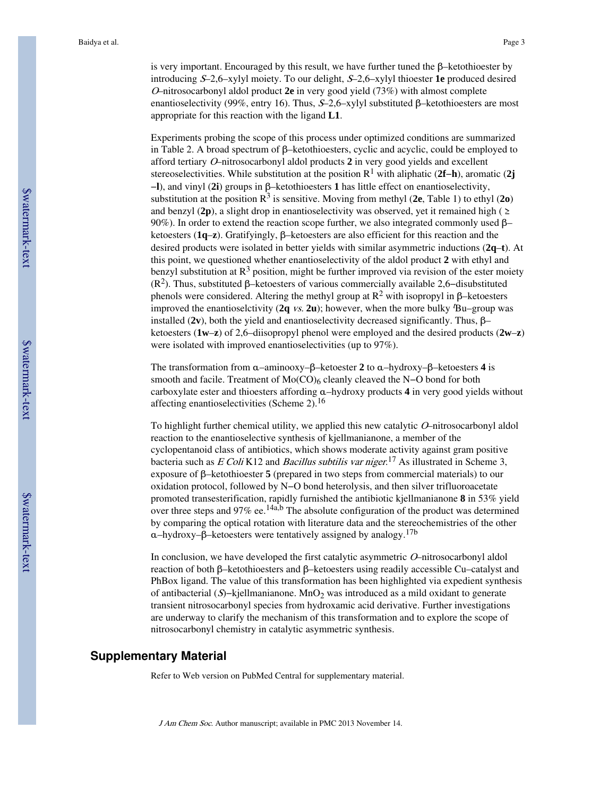is very important. Encouraged by this result, we have further tuned the  $\beta$ –ketothioester by introducing S–2,6–xylyl moiety. To our delight, S–2,6–xylyl thioester **1e** produced desired <sup>O</sup>–nitrosocarbonyl aldol product **2e** in very good yield (73%) with almost complete enantioselectivity (99%, entry 16). Thus,  $S$ –2,6–xylyl substituted  $\beta$ –ketothioesters are most appropriate for this reaction with the ligand **L1**.

Experiments probing the scope of this process under optimized conditions are summarized in Table 2. A broad spectrum of β–ketothioesters, cyclic and acyclic, could be employed to afford tertiary O–nitrosocarbonyl aldol products **2** in very good yields and excellent stereoselectivities. While substitution at the position R<sup>1</sup> with aliphatic (**2f**−**h**), aromatic (**2j** −**l**), and vinyl (**2i**) groups in β–ketothioesters **1** has little effect on enantioselectivity, substitution at the position  $\mathbb{R}^3$  is sensitive. Moving from methyl (2e, Table 1) to ethyl (2o) and benzyl (2p), a slight drop in enantioselectivity was observed, yet it remained high ( $\geq$ 90%). In order to extend the reaction scope further, we also integrated commonly used  $\beta$ – ketoesters (**1q**–**z**). Gratifyingly, β–ketoesters are also efficient for this reaction and the desired products were isolated in better yields with similar asymmetric inductions (**2q**–**t**). At this point, we questioned whether enantioselectivity of the aldol product **2** with ethyl and benzyl substitution at  $\mathbb{R}^3$  position, might be further improved via revision of the ester moiety ( $\mathbb{R}^2$ ). Thus, substituted β–ketoesters of various commercially available 2,6–disubstituted phenols were considered. Altering the methyl group at  $\mathbb{R}^2$  with isopropyl in β-ketoesters improved the enantioselctivity  $(2q \text{ vs. } 2u)$ ; however, when the more bulky  $Bu$ –group was installed  $(2v)$ , both the yield and enantioselectivity decreased significantly. Thus, β– ketoesters (**1w**–**z**) of 2,6–diisopropyl phenol were employed and the desired products (**2w**–**z**) were isolated with improved enantioselectivities (up to 97%).

The transformation from α–aminooxy–β–ketoester **2** to α–hydroxy–β–ketoesters **4** is smooth and facile. Treatment of Mo( $CO$ )<sub>6</sub> cleanly cleaved the N–O bond for both carboxylate ester and thioesters affording α–hydroxy products **4** in very good yields without affecting enantioselectivities (Scheme 2).<sup>16</sup>

To highlight further chemical utility, we applied this new catalytic  $O$ –nitrosocarbonyl aldol reaction to the enantioselective synthesis of kjellmanianone, a member of the cyclopentanoid class of antibiotics, which shows moderate activity against gram positive bacteria such as  $E$  Coli K12 and Bacillus subtilis var niger.<sup>17</sup> As illustrated in Scheme 3, exposure of β–ketothioester **5** (prepared in two steps from commercial materials) to our oxidation protocol, followed by N−O bond heterolysis, and then silver trifluoroacetate promoted transesterification, rapidly furnished the antibiotic kjellmanianone **8** in 53% yield over three steps and 97% ee.<sup>14a,b</sup> The absolute configuration of the product was determined by comparing the optical rotation with literature data and the stereochemistries of the other α–hydroxy–β–ketoesters were tentatively assigned by analogy.<sup>17b</sup>

In conclusion, we have developed the first catalytic asymmetric O–nitrosocarbonyl aldol reaction of both β–ketothioesters and β–ketoesters using readily accessible Cu–catalyst and PhBox ligand. The value of this transformation has been highlighted via expedient synthesis of antibacterial (S)−kjellmanianone. MnO2 was introduced as a mild oxidant to generate transient nitrosocarbonyl species from hydroxamic acid derivative. Further investigations are underway to clarify the mechanism of this transformation and to explore the scope of nitrosocarbonyl chemistry in catalytic asymmetric synthesis.

# **Supplementary Material**

Refer to Web version on PubMed Central for supplementary material.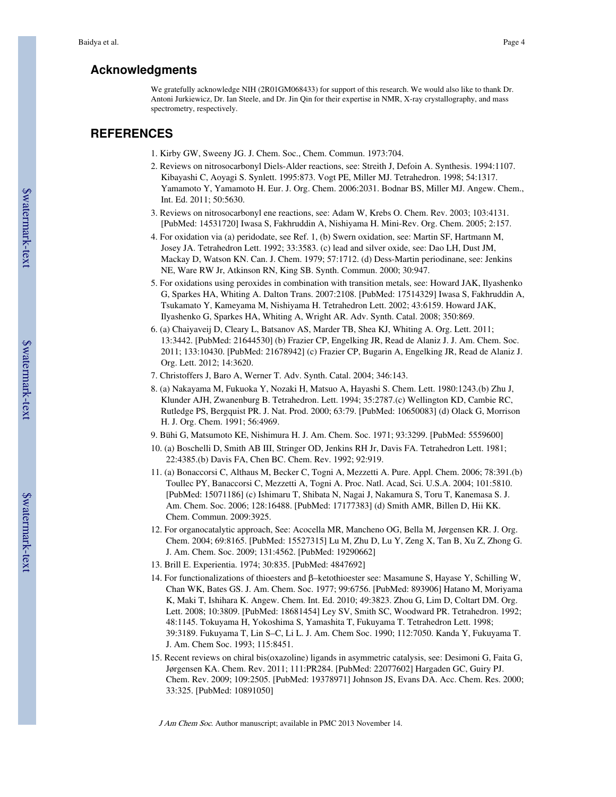# **Acknowledgments**

We gratefully acknowledge NIH (2R01GM068433) for support of this research. We would also like to thank Dr. Antoni Jurkiewicz, Dr. Ian Steele, and Dr. Jin Qin for their expertise in NMR, X-ray crystallography, and mass spectrometry, respectively.

# **REFERENCES**

- 1. Kirby GW, Sweeny JG. J. Chem. Soc., Chem. Commun. 1973:704.
- 2. Reviews on nitrosocarbonyl Diels-Alder reactions, see: Streith J, Defoin A. Synthesis. 1994:1107. Kibayashi C, Aoyagi S. Synlett. 1995:873. Vogt PE, Miller MJ. Tetrahedron. 1998; 54:1317. Yamamoto Y, Yamamoto H. Eur. J. Org. Chem. 2006:2031. Bodnar BS, Miller MJ. Angew. Chem., Int. Ed. 2011; 50:5630.
- 3. Reviews on nitrosocarbonyl ene reactions, see: Adam W, Krebs O. Chem. Rev. 2003; 103:4131. [PubMed: 14531720] Iwasa S, Fakhruddin A, Nishiyama H. Mini-Rev. Org. Chem. 2005; 2:157.
- 4. For oxidation via (a) peridodate, see Ref. 1, (b) Swern oxidation, see: Martin SF, Hartmann M, Josey JA. Tetrahedron Lett. 1992; 33:3583. (c) lead and silver oxide, see: Dao LH, Dust JM, Mackay D, Watson KN. Can. J. Chem. 1979; 57:1712. (d) Dess-Martin periodinane, see: Jenkins NE, Ware RW Jr, Atkinson RN, King SB. Synth. Commun. 2000; 30:947.
- 5. For oxidations using peroxides in combination with transition metals, see: Howard JAK, Ilyashenko G, Sparkes HA, Whiting A. Dalton Trans. 2007:2108. [PubMed: 17514329] Iwasa S, Fakhruddin A, Tsukamato Y, Kameyama M, Nishiyama H. Tetrahedron Lett. 2002; 43:6159. Howard JAK, Ilyashenko G, Sparkes HA, Whiting A, Wright AR. Adv. Synth. Catal. 2008; 350:869.
- 6. (a) Chaiyaveij D, Cleary L, Batsanov AS, Marder TB, Shea KJ, Whiting A. Org. Lett. 2011; 13:3442. [PubMed: 21644530] (b) Frazier CP, Engelking JR, Read de Alaniz J. J. Am. Chem. Soc. 2011; 133:10430. [PubMed: 21678942] (c) Frazier CP, Bugarin A, Engelking JR, Read de Alaniz J. Org. Lett. 2012; 14:3620.
- 7. Christoffers J, Baro A, Werner T. Adv. Synth. Catal. 2004; 346:143.
- 8. (a) Nakayama M, Fukuoka Y, Nozaki H, Matsuo A, Hayashi S. Chem. Lett. 1980:1243.(b) Zhu J, Klunder AJH, Zwanenburg B. Tetrahedron. Lett. 1994; 35:2787.(c) Wellington KD, Cambie RC, Rutledge PS, Bergquist PR. J. Nat. Prod. 2000; 63:79. [PubMed: 10650083] (d) Olack G, Morrison H. J. Org. Chem. 1991; 56:4969.
- 9. Bühi G, Matsumoto KE, Nishimura H. J. Am. Chem. Soc. 1971; 93:3299. [PubMed: 5559600]
- 10. (a) Boschelli D, Smith AB III, Stringer OD, Jenkins RH Jr, Davis FA. Tetrahedron Lett. 1981; 22:4385.(b) Davis FA, Chen BC. Chem. Rev. 1992; 92:919.
- 11. (a) Bonaccorsi C, Althaus M, Becker C, Togni A, Mezzetti A. Pure. Appl. Chem. 2006; 78:391.(b) Toullec PY, Banaccorsi C, Mezzetti A, Togni A. Proc. Natl. Acad, Sci. U.S.A. 2004; 101:5810. [PubMed: 15071186] (c) Ishimaru T, Shibata N, Nagai J, Nakamura S, Toru T, Kanemasa S. J. Am. Chem. Soc. 2006; 128:16488. [PubMed: 17177383] (d) Smith AMR, Billen D, Hii KK. Chem. Commun. 2009:3925.
- 12. For organocatalytic approach, See: Acocella MR, Mancheno OG, Bella M, Jørgensen KR. J. Org. Chem. 2004; 69:8165. [PubMed: 15527315] Lu M, Zhu D, Lu Y, Zeng X, Tan B, Xu Z, Zhong G. J. Am. Chem. Soc. 2009; 131:4562. [PubMed: 19290662]
- 13. Brill E. Experientia. 1974; 30:835. [PubMed: 4847692]
- 14. For functionalizations of thioesters and β–ketothioester see: Masamune S, Hayase Y, Schilling W, Chan WK, Bates GS. J. Am. Chem. Soc. 1977; 99:6756. [PubMed: 893906] Hatano M, Moriyama K, Maki T, Ishihara K. Angew. Chem. Int. Ed. 2010; 49:3823. Zhou G, Lim D, Coltart DM. Org. Lett. 2008; 10:3809. [PubMed: 18681454] Ley SV, Smith SC, Woodward PR. Tetrahedron. 1992; 48:1145. Tokuyama H, Yokoshima S, Yamashita T, Fukuyama T. Tetrahedron Lett. 1998; 39:3189. Fukuyama T, Lin S–C, Li L. J. Am. Chem Soc. 1990; 112:7050. Kanda Y, Fukuyama T. J. Am. Chem Soc. 1993; 115:8451.
- 15. Recent reviews on chiral bis(oxazoline) ligands in asymmetric catalysis, see: Desimoni G, Faita G, Jørgensen KA. Chem. Rev. 2011; 111:PR284. [PubMed: 22077602] Hargaden GC, Guiry PJ. Chem. Rev. 2009; 109:2505. [PubMed: 19378971] Johnson JS, Evans DA. Acc. Chem. Res. 2000; 33:325. [PubMed: 10891050]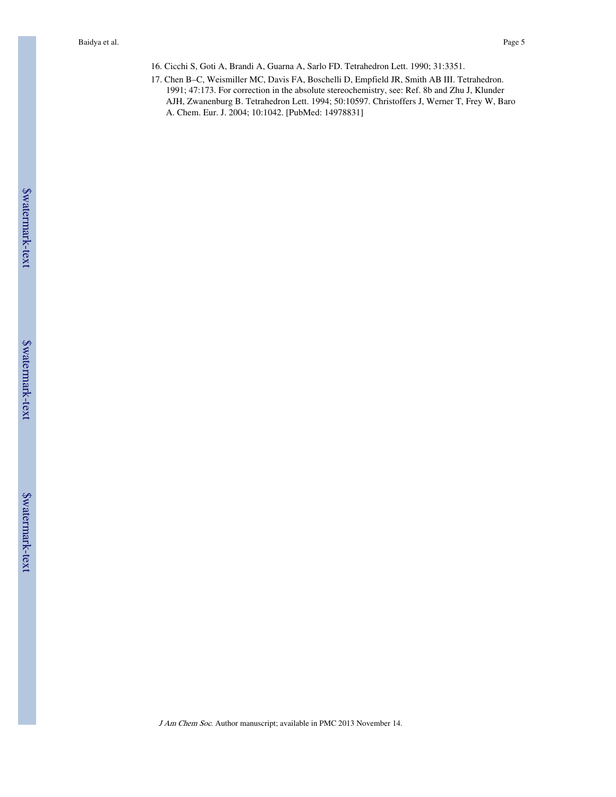- 16. Cicchi S, Goti A, Brandi A, Guarna A, Sarlo FD. Tetrahedron Lett. 1990; 31:3351.
- 17. Chen B–C, Weismiller MC, Davis FA, Boschelli D, Empfield JR, Smith AB III. Tetrahedron. 1991; 47:173. For correction in the absolute stereochemistry, see: Ref. 8b and Zhu J, Klunder AJH, Zwanenburg B. Tetrahedron Lett. 1994; 50:10597. Christoffers J, Werner T, Frey W, Baro A. Chem. Eur. J. 2004; 10:1042. [PubMed: 14978831]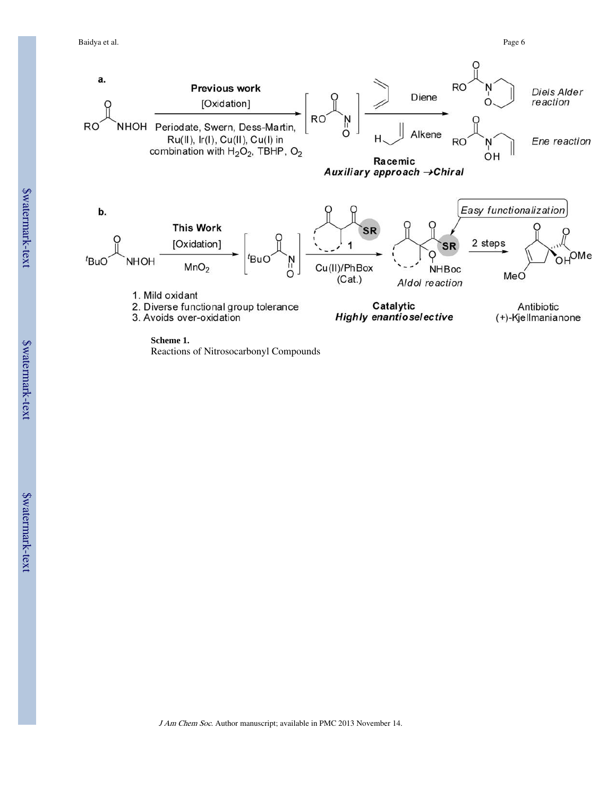#### Baidya et al. Page 6

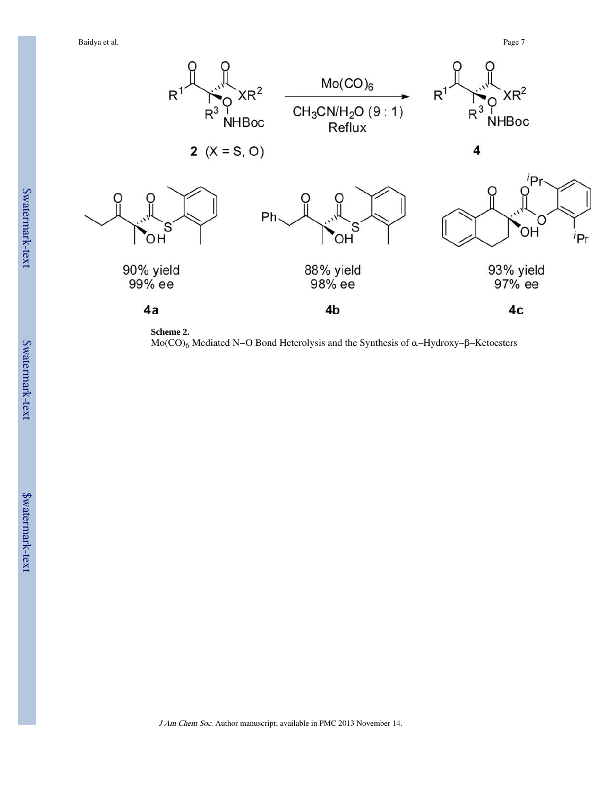Baidya et al. Page 7



```
Scheme 2.
```
Mo(CO)6 Mediated N−O Bond Heterolysis and the Synthesis of α–Hydroxy–β–Ketoesters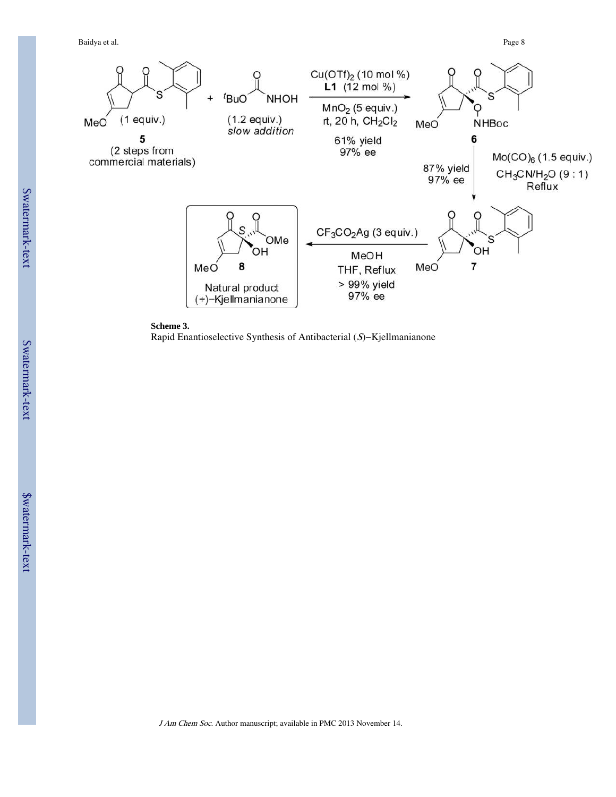Baidya et al. Page 8





Rapid Enantioselective Synthesis of Antibacterial (S)−Kjellmanianone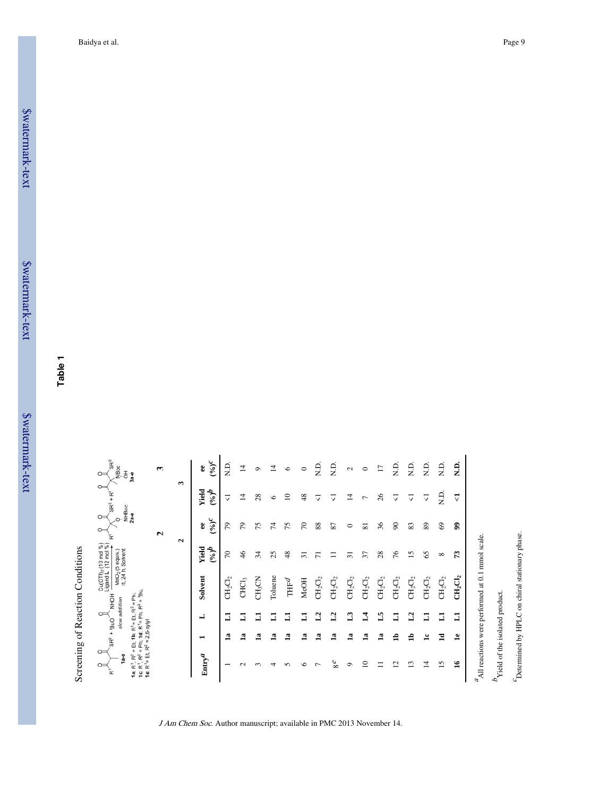\$watermark-text \$watermark-text

**Table 1**

Screening of Reaction Conditions Screening of Reaction Conditions

| $\circ$<br>ă<br>ř<br>$\mathbf{\tilde{r}}$<br>$\frac{9}{6}$<br><b>II</b><br>1a: $R^1$ .<br>É<br>ē<br>应<br>ë<br>$\ddot{\bullet}$ | $SR2 + fBuO$<br>$= 2, 6 - xy y $<br>$=$ Et; 1b;<br>$\tilde{\mathbf{r}}$ | $R^1 = Et, R^2 = Ph;$<br>slow addition<br>= Ph; 1d: $R^1$ = Ph, $R^2$<br>$\circ$ | = 'Bu.<br>M                                            | Cu(OTf) <sub>2</sub> (10 mol %)<br>Ligand L (12 mol %)<br>MnO <sub>2</sub> (5 equiv.)<br>rt, 24 h, Solvent | NHBoc<br>2a-e<br>$\bar{\mathbf{r}}$ | $\circ$<br>$SR^{2} + R^{1}$ | $S\mathsf{R}^2$<br>NBoc<br>공<br>$3a - 0$ |
|--------------------------------------------------------------------------------------------------------------------------------|-------------------------------------------------------------------------|----------------------------------------------------------------------------------|--------------------------------------------------------|------------------------------------------------------------------------------------------------------------|-------------------------------------|-----------------------------|------------------------------------------|
|                                                                                                                                |                                                                         |                                                                                  |                                                        |                                                                                                            | $\sim$                              |                             | 3                                        |
|                                                                                                                                |                                                                         |                                                                                  |                                                        |                                                                                                            | $\mathbf{\Omega}$                   | $\mathbf{\hat{z}}$          |                                          |
| $\mathrm{Entry}^{\mathcal{A}}$                                                                                                 | $\blacksquare$                                                          | L                                                                                | Solvent                                                | Yield<br>$q^{(\rho)}$                                                                                      | $\delta^{(\theta_0)}$<br>\$         | Yield<br>$q^{(\phi)}$       | $(0/6)^C$<br>8                           |
|                                                                                                                                | $\mathbf{a}$                                                            | コ                                                                                | $\mathrm{CH_{2}Cl_{2}}$                                | 50                                                                                                         | 54                                  | ⊽                           | Э.<br>Z                                  |
| $\mathbf{\sim}$                                                                                                                | $\mathbf{a}$                                                            | $\Xi$                                                                            | CHC <sub>3</sub>                                       | $\frac{4}{6}$                                                                                              | 54                                  | ᅼ                           | ᅼ                                        |
| $\sim$                                                                                                                         | $\mathbf{a}$                                                            | 5                                                                                | CH <sub>3</sub> CN                                     | 34                                                                                                         | 75                                  | $^{28}$                     | ం                                        |
| 4                                                                                                                              | $\mathbf{a}$                                                            | 5                                                                                | Toluene                                                | 25                                                                                                         | Ħ,                                  | $\circ$                     | ᅺ                                        |
| 5                                                                                                                              | $\mathbf{a}$                                                            | 5                                                                                | $\mathbb{T}\mathbb{H} \mathbb{F}^d$                    | 48                                                                                                         | 75                                  | $\mathbf{c}$                | $\circ$                                  |
| $\circ$                                                                                                                        | $\mathbf{a}$                                                            | Б                                                                                | MeOH                                                   | $\overline{5}$                                                                                             | $\mathcal{L}$                       | $\frac{8}{4}$               | $\circ$                                  |
| $\overline{ }$                                                                                                                 | $\mathbf{a}$                                                            | $\mathbf{r}_3$                                                                   | $CH_2Cl_2$                                             | $\overline{r}$                                                                                             | 88                                  | ▽                           | Э.<br>З                                  |
| $8^{\rm e}$                                                                                                                    | $\mathbf{a}$                                                            | $\mathbf{L}^2$                                                                   | $\mathrm{CH}_2\mathrm{Cl}_2$                           |                                                                                                            | 87                                  | ▽                           | n<br>N                                   |
| $\circ$                                                                                                                        | $\mathbf{a}$                                                            | $\mathbf{L}$                                                                     | $\mathrm{CH}_2\mathrm{Cl}_2$                           | ಸ                                                                                                          | 0                                   | ⋣                           | $\sim$                                   |
| $\supseteq$                                                                                                                    | $\mathbf{a}$                                                            | $\mathbf{I}$                                                                     | $CH_2Cl_2$                                             | 57                                                                                                         | $\overline{\mathbf{s}}$             | ↽                           | $\circ$                                  |
| ≍                                                                                                                              | $\mathbf{a}$                                                            | 5                                                                                | $\mathrm{CH}_2\mathrm{Cl}_2$                           | $^{28}$                                                                                                    | 36                                  | $^{26}$                     | E                                        |
| $\overline{\mathfrak{c}}$                                                                                                      | ਥ                                                                       | $\Box$                                                                           | $\mathrm{CH_{2}Cl_{2}}$                                | 76                                                                                                         | $\infty$                            | ▽                           | Ω.                                       |
| $\mathbf{r}$                                                                                                                   | $\mathbf{a}$                                                            | L2                                                                               | $\mathrm{CH}_2\mathrm{Cl}_2$                           | $\overline{15}$                                                                                            | 83                                  | ⊽                           | О.<br>К                                  |
| 4                                                                                                                              | $\mathbf{r}$                                                            | Ξ                                                                                | $\mathrm{CH}_2\mathrm{Cl}_2$                           | 65                                                                                                         | 89                                  | ▽                           | Ω.<br>Σ                                  |
| $\overline{15}$                                                                                                                | $\mathbf{I}$                                                            | コ                                                                                | $\mathrm{CH_{2}Cl_{2}}$                                | $\infty$                                                                                                   | 3                                   | $\frac{D}{N}$               | $\frac{1}{2}$                            |
| $\mathbf{a}$                                                                                                                   | $\mathbf{e}$                                                            | $\Box$                                                                           | $\mathrm{CH_{2}Cl_{2}}$                                | 52                                                                                                         | இ                                   | $\triangledown$             | Ω.                                       |
|                                                                                                                                |                                                                         |                                                                                  | $^d\!A\Pi$ reactions were performed at 0.1 mmol scale. |                                                                                                            |                                     |                             |                                          |
| $b$ Yield of the isolated product.                                                                                             |                                                                         |                                                                                  |                                                        |                                                                                                            |                                     |                             |                                          |
| ರ                                                                                                                              |                                                                         |                                                                                  |                                                        |                                                                                                            |                                     |                             |                                          |

J Am Chem Soc. Author manuscript; available in PMC 2013 November 14.

 $\emph{``Determined by HPLC}$  on chiral stationary phase. Determined by HPLC on chiral stationary phase.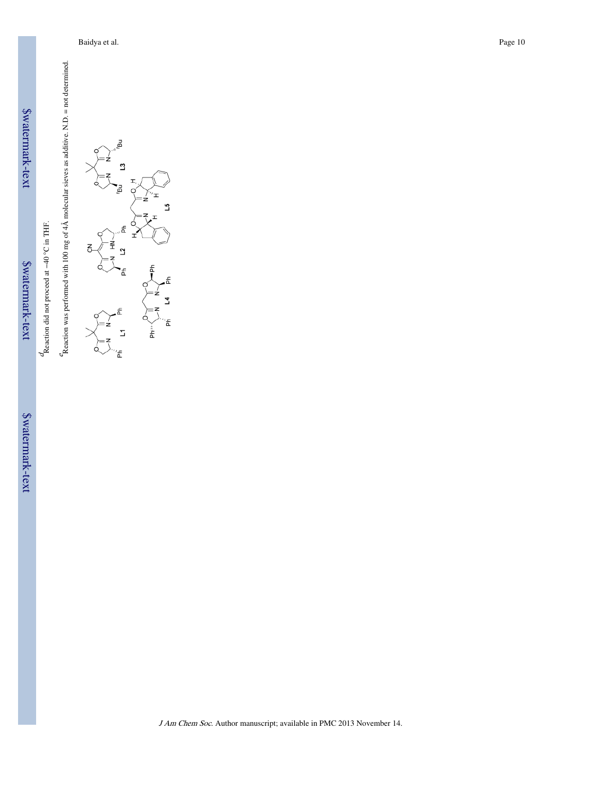| E |
|---|
|   |
|   |
|   |
|   |
| ļ |
|   |

Reaction did not proceed at −40 °C in THF.

\$watermark-text \$watermark-text

 $d$ <br>Reaction did not proceed at -40 °C in THF.  $\ell_{\rm Reaction}$  was performed with 100 mg of 4Å molecular sieves as additive. N.D. = not determined. Reaction was performed with 100 mg of  $4\text{\AA}$  molecular sieves as additive. N.D. = not determined.

ă ្មរ 51 东  $\overline{5}$ ٩ £  $\overline{1}$ 춥 Ľ, Έ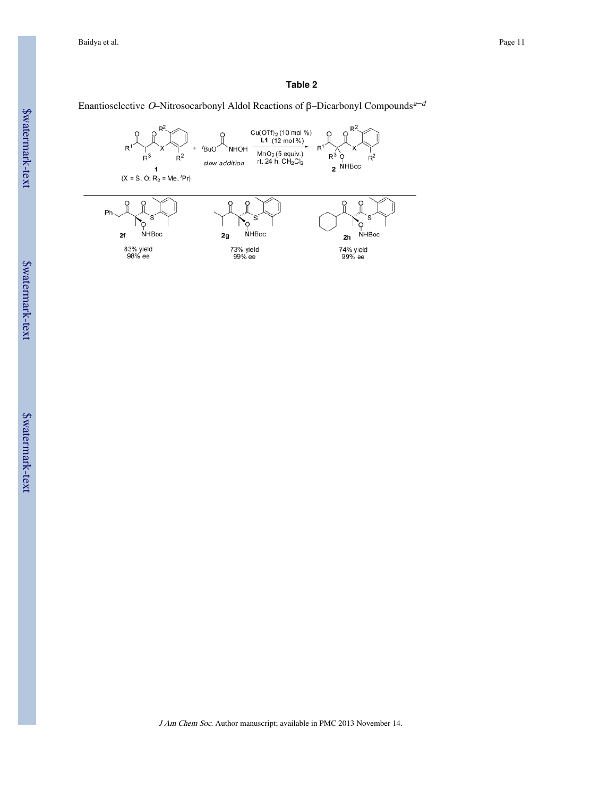### **Table 2**

# Enantioselective O–Nitrosocarbonyl Aldol Reactions of β–Dicarbonyl Compounds<sup>a–d</sup>